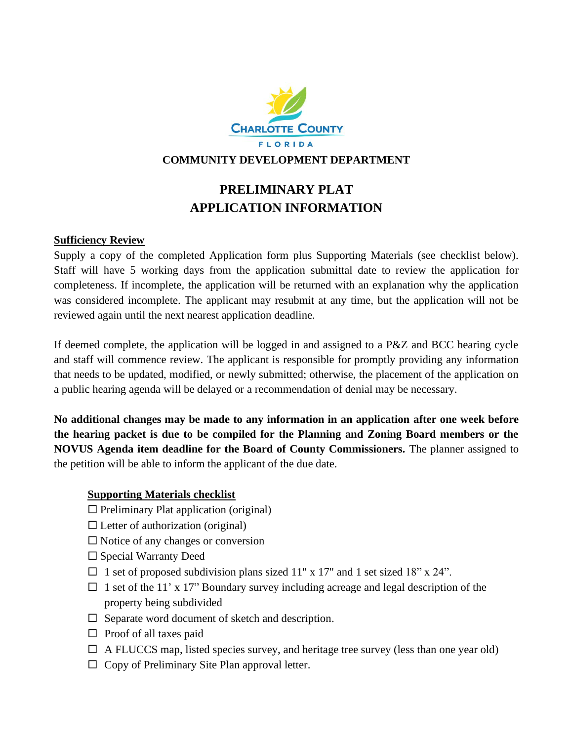

### **COMMUNITY DEVELOPMENT DEPARTMENT**

## **PRELIMINARY PLAT APPLICATION INFORMATION**

### **Sufficiency Review**

Supply a copy of the completed Application form plus Supporting Materials (see checklist below)*.* Staff will have 5 working days from the application submittal date to review the application for completeness. If incomplete, the application will be returned with an explanation why the application was considered incomplete. The applicant may resubmit at any time, but the application will not be reviewed again until the next nearest application deadline.

If deemed complete, the application will be logged in and assigned to a P&Z and BCC hearing cycle and staff will commence review. The applicant is responsible for promptly providing any information that needs to be updated, modified, or newly submitted; otherwise, the placement of the application on a public hearing agenda will be delayed or a recommendation of denial may be necessary.

**No additional changes may be made to any information in an application after one week before the hearing packet is due to be compiled for the Planning and Zoning Board members or the NOVUS Agenda item deadline for the Board of County Commissioners.** The planner assigned to the petition will be able to inform the applicant of the due date.

#### **Supporting Materials checklist**

- $\Box$  Preliminary Plat application (original)
- $\square$  Letter of authorization (original)
- $\square$  Notice of any changes or conversion
- $\square$  Special Warranty Deed
- $\Box$  1 set of proposed subdivision plans sized 11" x 17" and 1 set sized 18" x 24".
- $\Box$  1 set of the 11' x 17" Boundary survey including acreage and legal description of the property being subdivided
- $\Box$  Separate word document of sketch and description.
- $\Box$  Proof of all taxes paid
- $\Box$  A FLUCCS map, listed species survey, and heritage tree survey (less than one year old)
- $\Box$  Copy of Preliminary Site Plan approval letter.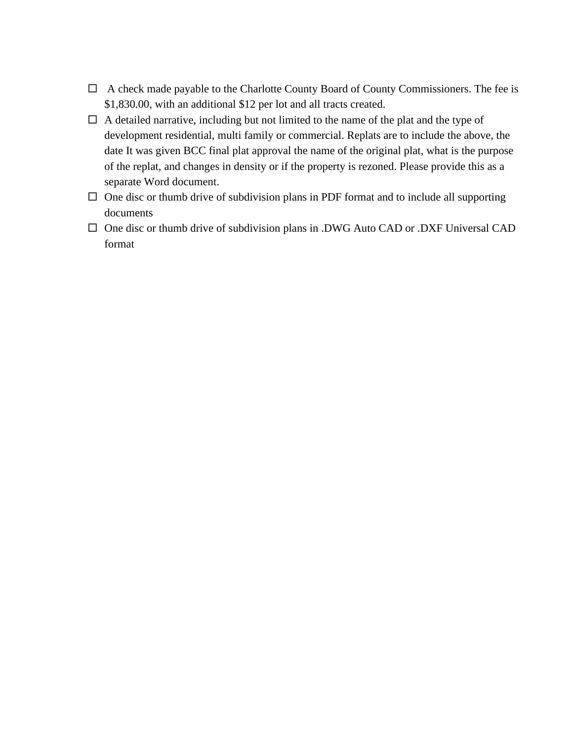- $\Box$  A check made payable to the Charlotte County Board of County Commissioners. The fee is \$1,830.00, with an additional \$12 per lot and all tracts created.
- $\Box$  A detailed narrative, including but not limited to the name of the plat and the type of development residential, multi family or commercial. Replats are to include the above, the date It was given BCC final plat approval the name of the original plat, what is the purpose of the replat, and changes in density or if the property is rezoned. Please provide this as a separate Word document.
- $\Box$  One disc or thumb drive of subdivision plans in PDF format and to include all supporting documents
- $\square$  One disc or thumb drive of subdivision plans in .DWG Auto CAD or .DXF Universal CAD format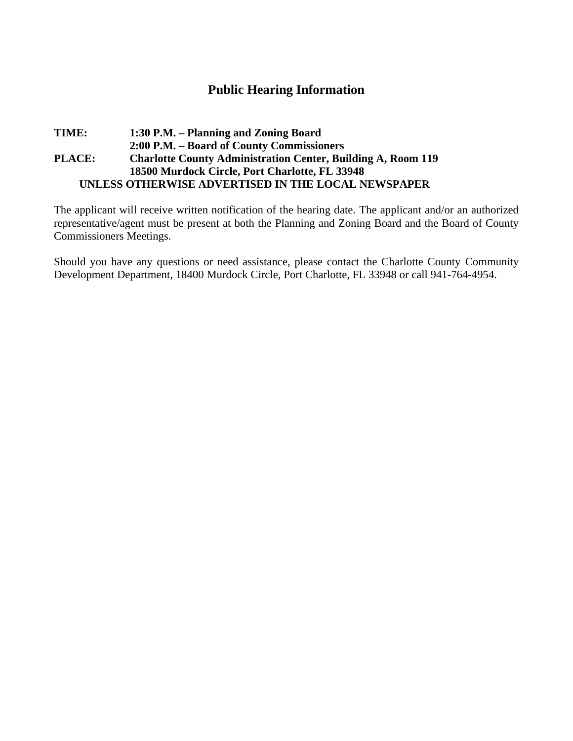## **Public Hearing Information**

### **TIME: 1:30 P.M. – Planning and Zoning Board 2:00 P.M. – Board of County Commissioners PLACE: Charlotte County Administration Center, Building A, Room 119 18500 Murdock Circle, Port Charlotte, FL 33948 UNLESS OTHERWISE ADVERTISED IN THE LOCAL NEWSPAPER**

The applicant will receive written notification of the hearing date. The applicant and/or an authorized representative/agent must be present at both the Planning and Zoning Board and the Board of County Commissioners Meetings.

Should you have any questions or need assistance, please contact the Charlotte County Community Development Department, 18400 Murdock Circle, Port Charlotte, FL 33948 or call 941-764-4954.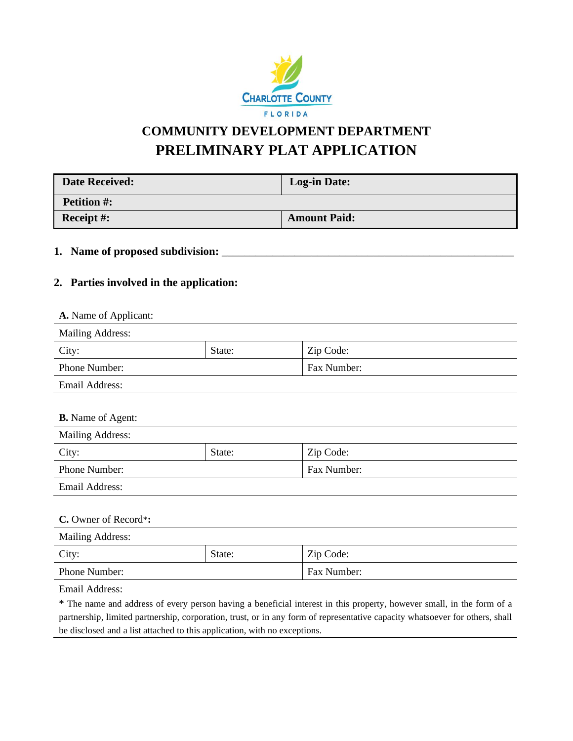

# **COMMUNITY DEVELOPMENT DEPARTMENT PRELIMINARY PLAT APPLICATION**

| <b>Date Received:</b> | <b>Log-in Date:</b> |
|-----------------------|---------------------|
| <b>Petition #:</b>    |                     |
| Receipt $#$ :         | <b>Amount Paid:</b> |

### **1. Name of proposed subdivision:** \_\_\_\_\_\_\_\_\_\_\_\_\_\_\_\_\_\_\_\_\_\_\_\_\_\_\_\_\_\_\_\_\_\_\_\_\_\_\_\_\_\_\_\_\_\_\_\_\_\_\_\_

### **2. Parties involved in the application:**

| <b>A.</b> Name of Applicant: |        |             |  |
|------------------------------|--------|-------------|--|
| <b>Mailing Address:</b>      |        |             |  |
| City:                        | State: | Zip Code:   |  |
| <b>Phone Number:</b>         |        | Fax Number: |  |
| <b>Email Address:</b>        |        |             |  |

| <b>B.</b> Name of Agent: |        |             |  |
|--------------------------|--------|-------------|--|
| <b>Mailing Address:</b>  |        |             |  |
| City:                    | State: | Zip Code:   |  |
| Phone Number:            |        | Fax Number: |  |
| <b>Email Address:</b>    |        |             |  |
|                          |        |             |  |
| C. Owner of Record*:     |        |             |  |
| <b>Mailing Address:</b>  |        |             |  |
| City:                    | State: | Zip Code:   |  |
| Phone Number:            |        | Fax Number: |  |

Email Address: \* The name and address of every person having a beneficial interest in this property, however small, in the form of a partnership, limited partnership, corporation, trust, or in any form of representative capacity whatsoever for others, shall be disclosed and a list attached to this application, with no exceptions.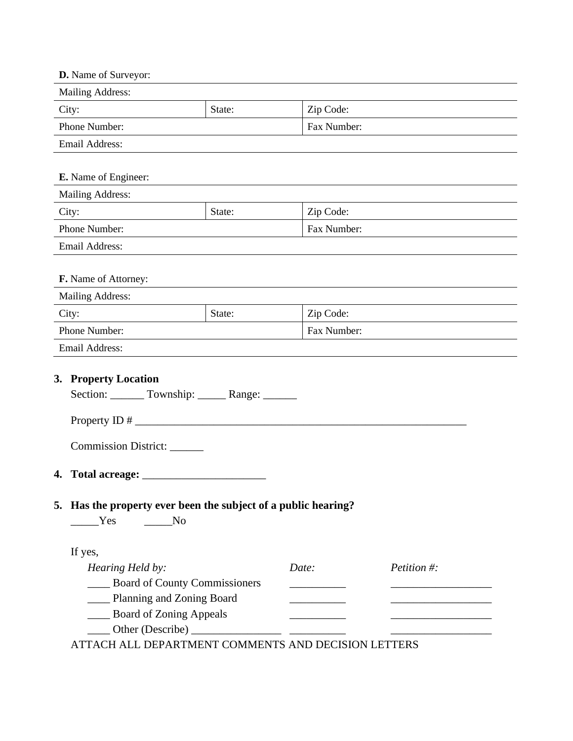| D. Name of Surveyor:                                                         |        |                                  |                |  |  |
|------------------------------------------------------------------------------|--------|----------------------------------|----------------|--|--|
| Mailing Address:                                                             |        |                                  |                |  |  |
| City:<br>State:                                                              |        | Zip Code:                        |                |  |  |
| Phone Number:                                                                |        | Fax Number:                      |                |  |  |
| Email Address:                                                               |        |                                  |                |  |  |
| E. Name of Engineer:                                                         |        |                                  |                |  |  |
| Mailing Address:                                                             |        |                                  |                |  |  |
| City:                                                                        | State: | Zip Code:                        |                |  |  |
| Phone Number:                                                                |        | Fax Number:                      |                |  |  |
| Email Address:                                                               |        |                                  |                |  |  |
| F. Name of Attorney:                                                         |        |                                  |                |  |  |
| Mailing Address:                                                             |        |                                  |                |  |  |
| City:                                                                        | State: | Zip Code:                        |                |  |  |
| Phone Number:                                                                |        | Fax Number:                      |                |  |  |
| Email Address:                                                               |        |                                  |                |  |  |
| 3. Property Location<br>Section: _______ Township: ______ Range: ______      |        |                                  |                |  |  |
| Commission District:                                                         |        |                                  |                |  |  |
| 4. Total acreage: _______                                                    |        |                                  |                |  |  |
| 5. Has the property ever been the subject of a public hearing?<br>Yes<br>No. |        |                                  |                |  |  |
| If yes,                                                                      |        |                                  |                |  |  |
| Hearing Held by:                                                             |        | Date:                            | Petition $#$ : |  |  |
| Board of County Commissioners                                                |        |                                  |                |  |  |
| Planning and Zoning Board                                                    |        | <u> 1999 - Johann John Barns</u> |                |  |  |
| Board of Zoning Appeals                                                      |        |                                  |                |  |  |
|                                                                              |        |                                  |                |  |  |

ATTACH ALL DEPARTMENT COMMENTS AND DECISION LETTERS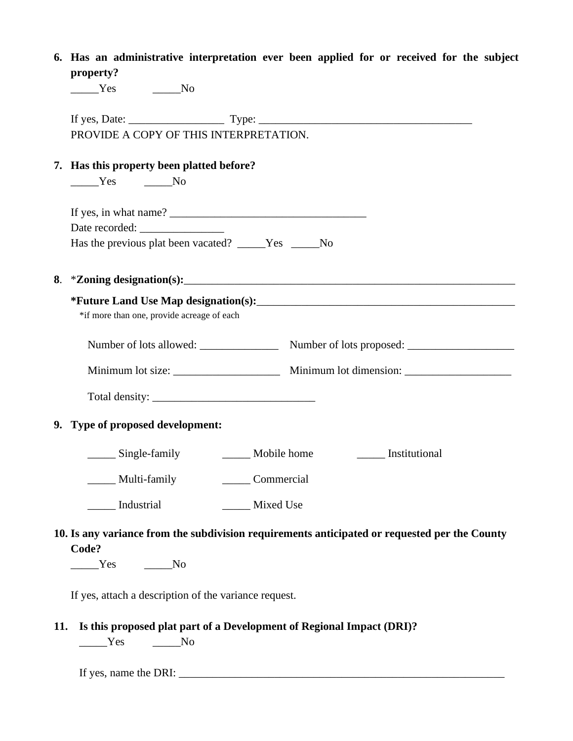|     | 6. Has an administrative interpretation ever been applied for or received for the subject            |  |  |  |  |
|-----|------------------------------------------------------------------------------------------------------|--|--|--|--|
|     | property?                                                                                            |  |  |  |  |
|     | $\rule{1em}{0.15mm}$ $\qquad \qquad$ $\qquad \text{No}$                                              |  |  |  |  |
|     |                                                                                                      |  |  |  |  |
|     | PROVIDE A COPY OF THIS INTERPRETATION.                                                               |  |  |  |  |
|     | 7. Has this property been platted before?<br>$\rule{1em}{0.15mm}$ $\qquad \qquad$ $\qquad \qquad$ No |  |  |  |  |
|     |                                                                                                      |  |  |  |  |
|     |                                                                                                      |  |  |  |  |
|     | Has the previous plat been vacated? _____Yes _____No                                                 |  |  |  |  |
|     |                                                                                                      |  |  |  |  |
|     |                                                                                                      |  |  |  |  |
|     | *if more than one, provide acreage of each                                                           |  |  |  |  |
|     |                                                                                                      |  |  |  |  |
|     |                                                                                                      |  |  |  |  |
|     |                                                                                                      |  |  |  |  |
|     | 9. Type of proposed development:                                                                     |  |  |  |  |
|     | _______ Single-family ___________ Mobile home ________________ Institutional                         |  |  |  |  |
|     | Multi-family<br>Commercial                                                                           |  |  |  |  |
|     | Industrial<br>Mixed Use                                                                              |  |  |  |  |
|     | 10. Is any variance from the subdivision requirements anticipated or requested per the County        |  |  |  |  |
|     | Code?                                                                                                |  |  |  |  |
|     | No No No                                                                                             |  |  |  |  |
|     | If yes, attach a description of the variance request.                                                |  |  |  |  |
| 11. | Is this proposed plat part of a Development of Regional Impact (DRI)?                                |  |  |  |  |
|     | <b>Yes</b><br>No                                                                                     |  |  |  |  |

If yes, name the DRI:  $\frac{1}{2}$  and  $\frac{1}{2}$  and  $\frac{1}{2}$  and  $\frac{1}{2}$  and  $\frac{1}{2}$  and  $\frac{1}{2}$  and  $\frac{1}{2}$  and  $\frac{1}{2}$  and  $\frac{1}{2}$  and  $\frac{1}{2}$  and  $\frac{1}{2}$  and  $\frac{1}{2}$  and  $\frac{1}{2}$  and  $\frac{1}{2}$  and  $\frac$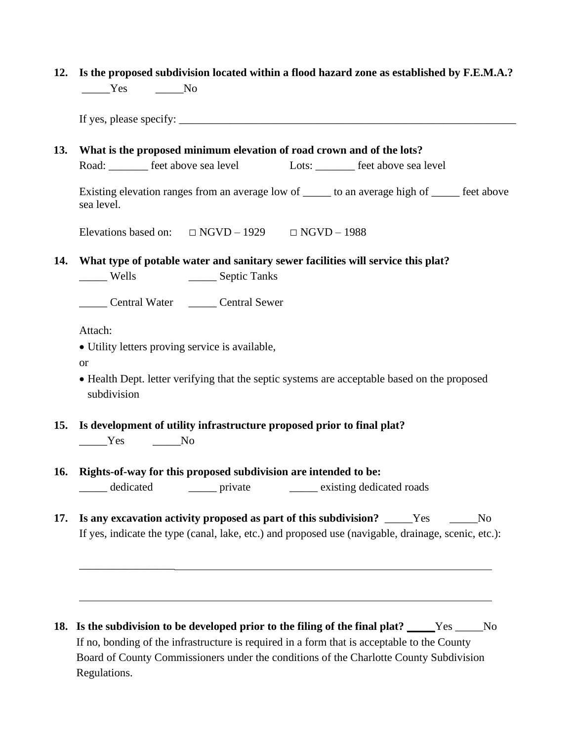|      |       |  | 12. Is the proposed subdivision located within a flood hazard zone as established by F.E.M.A.? |  |
|------|-------|--|------------------------------------------------------------------------------------------------|--|
| Yes. | No No |  |                                                                                                |  |

If yes, please specify:

**13. What is the proposed minimum elevation of road crown and of the lots?** Road: Freet above sea level Lots: Freet above sea level

Existing elevation ranges from an average low of to an average high of feet above sea level.

Elevations based on:  $\Box$  NGVD – 1929  $\Box$  NGVD – 1988

**14. What type of potable water and sanitary sewer facilities will service this plat?**

\_\_\_\_\_ Wells \_\_\_\_\_ Septic Tanks

\_\_\_\_\_ Central Water \_\_\_\_\_ Central Sewer

Attach:

\_\_\_\_\_\_\_\_\_\_\_\_\_\_\_\_\_

• Utility letters proving service is available,

or

- Health Dept. letter verifying that the septic systems are acceptable based on the proposed subdivision
- **15. Is development of utility infrastructure proposed prior to final plat?**   $Yes$  No
- **16. Rights-of-way for this proposed subdivision are intended to be:** \_\_\_\_\_ dedicated \_\_\_\_\_ private \_\_\_\_\_ existing dedicated roads
- **17. Is any excavation activity proposed as part of this subdivision?** \_\_\_\_\_Yes \_\_\_\_\_No If yes, indicate the type (canal, lake, etc.) and proposed use (navigable, drainage, scenic, etc.):

**18. Is the subdivision to be developed prior to the filing of the final plat?** \_\_\_\_\_Yes \_\_\_\_\_No If no, bonding of the infrastructure is required in a form that is acceptable to the County Board of County Commissioners under the conditions of the Charlotte County Subdivision Regulations.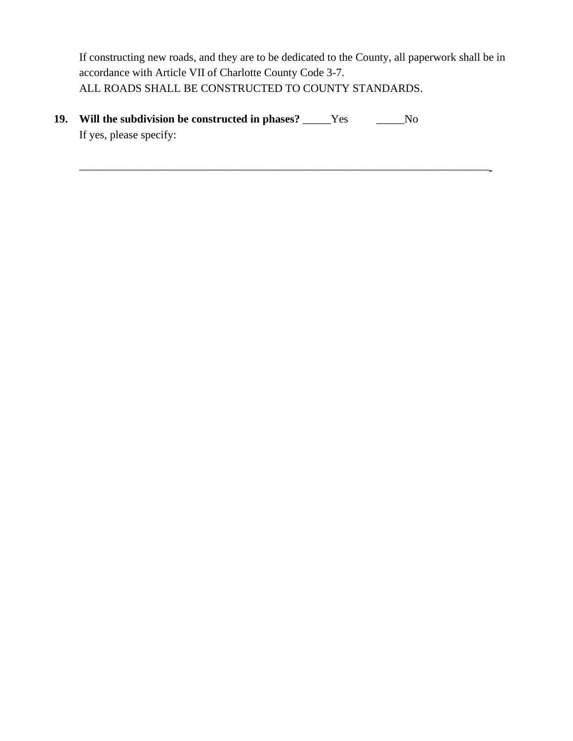If constructing new roads, and they are to be dedicated to the County, all paperwork shall be in accordance with Article VII of Charlotte County Code 3-7. ALL ROADS SHALL BE CONSTRUCTED TO COUNTY STANDARDS.

**19. Will the subdivision be constructed in phases?** \_\_\_\_\_Yes \_\_\_\_\_No If yes, please specify: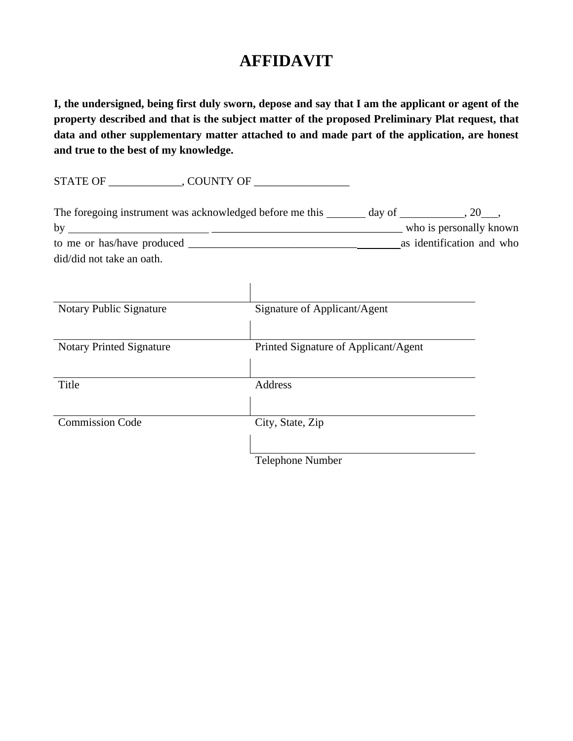# **AFFIDAVIT**

**I, the undersigned, being first duly sworn, depose and say that I am the applicant or agent of the property described and that is the subject matter of the proposed Preliminary Plat request, that data and other supplementary matter attached to and made part of the application, are honest and true to the best of my knowledge.**

STATE OF \_\_\_\_\_\_\_\_\_\_\_\_\_, COUNTY OF \_\_\_\_\_\_\_\_\_\_\_\_\_\_\_\_\_

| The foregoing instrument was acknowledged before me this | day of | .20                       |
|----------------------------------------------------------|--------|---------------------------|
| by                                                       |        | who is personally known   |
| to me or has/have produced                               |        | as identification and who |
| did/did not take an oath.                                |        |                           |

| <b>Notary Public Signature</b>  | Signature of Applicant/Agent         |  |
|---------------------------------|--------------------------------------|--|
|                                 |                                      |  |
| <b>Notary Printed Signature</b> | Printed Signature of Applicant/Agent |  |
|                                 |                                      |  |
| Title                           | Address                              |  |
|                                 |                                      |  |
| <b>Commission Code</b>          | City, State, Zip                     |  |
|                                 |                                      |  |
|                                 | <b>Telephone Number</b>              |  |

 $\mathbf{I}$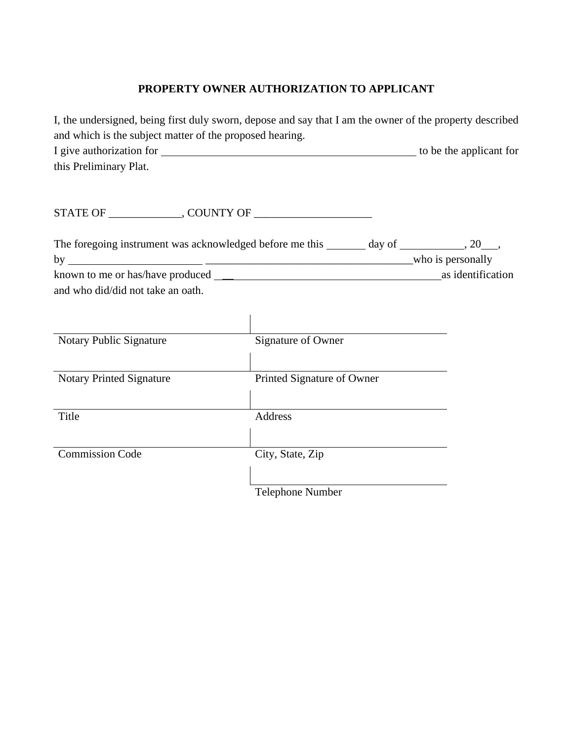## **PROPERTY OWNER AUTHORIZATION TO APPLICANT**

|                                                          | I, the undersigned, being first duly sworn, depose and say that I am the owner of the property described |                   |
|----------------------------------------------------------|----------------------------------------------------------------------------------------------------------|-------------------|
| and which is the subject matter of the proposed hearing. |                                                                                                          |                   |
|                                                          |                                                                                                          |                   |
| this Preliminary Plat.                                   |                                                                                                          |                   |
|                                                          |                                                                                                          |                   |
|                                                          |                                                                                                          |                   |
|                                                          | The foregoing instrument was acknowledged before me this _______ day of ___________, 20___,              |                   |
|                                                          |                                                                                                          |                   |
|                                                          |                                                                                                          | as identification |
| and who did/did not take an oath.                        |                                                                                                          |                   |
|                                                          |                                                                                                          |                   |
|                                                          |                                                                                                          |                   |
| Notary Public Signature                                  | Signature of Owner                                                                                       |                   |
|                                                          |                                                                                                          |                   |
| <b>Notary Printed Signature</b>                          | Printed Signature of Owner                                                                               |                   |
|                                                          |                                                                                                          |                   |
| Title                                                    | Address                                                                                                  |                   |
|                                                          |                                                                                                          |                   |
| <b>Commission Code</b>                                   | City, State, Zip                                                                                         |                   |
|                                                          |                                                                                                          |                   |
|                                                          | Telephone Number                                                                                         |                   |
|                                                          |                                                                                                          |                   |